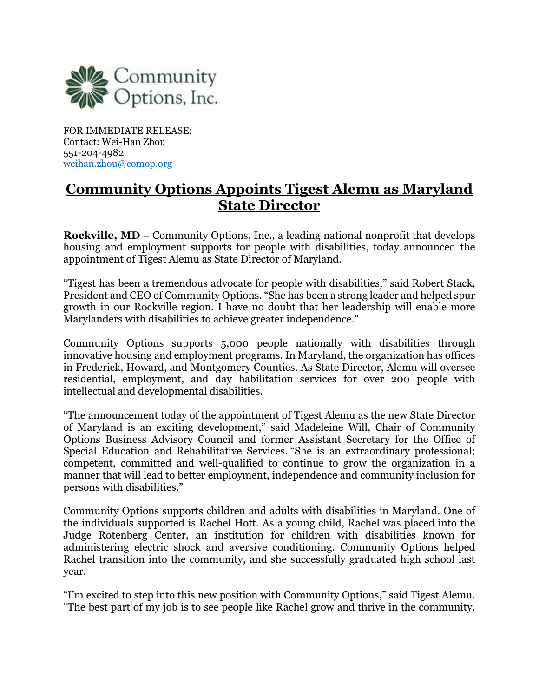

FOR IMMEDIATE RELEASE: Contact: Wei-Han Zhou 551-204-4982 weihan.zhou@comop.org

## **Community Options Appoints Tigest Alemu as Maryland State Director**

**Rockville, MD** – Community Options, Inc., a leading national nonprofit that develops housing and employment supports for people with disabilities, today announced the appointment of Tigest Alemu as State Director of Maryland.

"Tigest has been a tremendous advocate for people with disabilities," said Robert Stack, President and CEO of Community Options. "She has been a strong leader and helped spur growth in our Rockville region. I have no doubt that her leadership will enable more Marylanders with disabilities to achieve greater independence."

Community Options supports 5,000 people nationally with disabilities through innovative housing and employment programs. In Maryland, the organization has offices in Frederick, Howard, and Montgomery Counties. As State Director, Alemu will oversee residential, employment, and day habilitation services for over 200 people with intellectual and developmental disabilities.

"The announcement today of the appointment of Tigest Alemu as the new State Director of Maryland is an exciting development," said Madeleine Will, Chair of Community Options Business Advisory Council and former Assistant Secretary for the Office of Special Education and Rehabilitative Services. "She is an extraordinary professional; competent, committed and well-qualified to continue to grow the organization in a manner that will lead to better employment, independence and community inclusion for persons with disabilities."

Community Options supports children and adults with disabilities in Maryland. One of the individuals supported is Rachel Hott. As a young child, Rachel was placed into the Judge Rotenberg Center, an institution for children with disabilities known for administering electric shock and aversive conditioning. Community Options helped Rachel transition into the community, and she successfully graduated high school last year.

"I'm excited to step into this new position with Community Options," said Tigest Alemu. "The best part of my job is to see people like Rachel grow and thrive in the community.